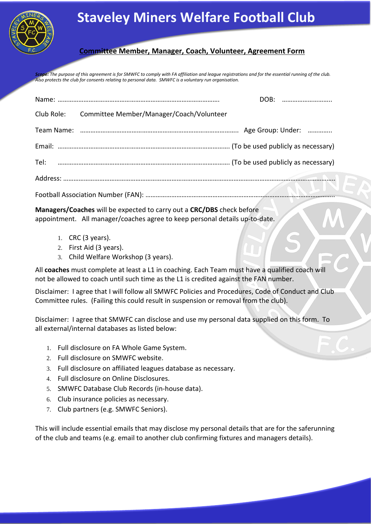

## **Staveley Miners Welfare Football Club**

## **Committee Member, Manager, Coach, Volunteer, Agreement Form**

Scope: The purpose of this agreement is for SMWFC to comply with FA affiliation and leggue registrations and for the essential running of the club. *Also protects the club for consents relating to personal data. SMWFC is a voluntary run organisation.* 

|  | Club Role: Committee Member/Manager/Coach/Volunteer |  |  |  |
|--|-----------------------------------------------------|--|--|--|
|  |                                                     |  |  |  |
|  |                                                     |  |  |  |
|  |                                                     |  |  |  |
|  |                                                     |  |  |  |
|  |                                                     |  |  |  |

**Managers/Coaches** will be expected to carry out a **CRC/DBS** check before appointment. All manager/coaches agree to keep personal details up-to-date.

- 1. CRC (3 years).
- 2. First Aid (3 years).
- 3. Child Welfare Workshop (3 years).

All **coaches** must complete at least a L1 in coaching. Each Team must have a qualified coach will not be allowed to coach until such time as the L1 is credited against the FAN number.

Disclaimer: I agree that I will follow all SMWFC Policies and Procedures, Code of Conduct and Club Committee rules. (Failing this could result in suspension or removal from the club).

Disclaimer: I agree that SMWFC can disclose and use my personal data supplied on this form. To all external/internal databases as listed below:

- 1. Full disclosure on FA Whole Game System.
- 2. Full disclosure on SMWFC website.
- 3. Full disclosure on affiliated leagues database as necessary.
- 4. Full disclosure on Online Disclosures.
- 5. SMWFC Database Club Records (in-house data).
- 6. Club insurance policies as necessary.
- 7. Club partners (e.g. SMWFC Seniors).

This will include essential emails that may disclose my personal details that are for the saferunning of the club and teams (e.g. email to another club confirming fixtures and managers details).